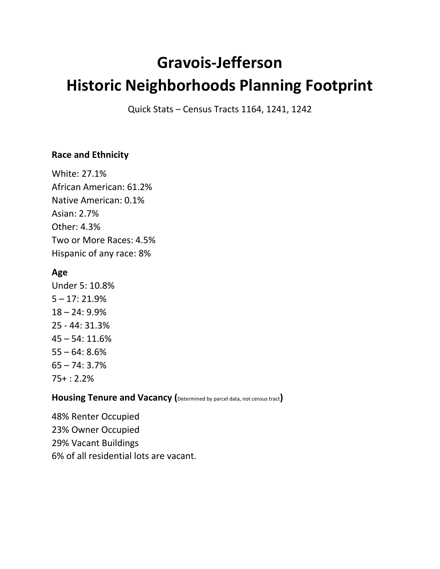# **Gravois-Jefferson Historic Neighborhoods Planning Footprint**

Quick Stats – Census Tracts 1164, 1241, 1242

## **Race and Ethnicity**

White: 27.1% African American: 61.2% Native American: 0.1% Asian: 2.7% Other: 4.3% Two or More Races: 4.5% Hispanic of any race: 8%

# **Age**

Under 5: 10.8% 5 – 17: 21.9% 18 – 24: 9.9% 25 - 44: 31.3% 45 – 54: 11.6%  $55 - 64: 8.6%$ 65 – 74: 3.7% 75+ : 2.2%

## **Housing Tenure and Vacancy (**Determined by parcel data, not census tract**)**

48% Renter Occupied 23% Owner Occupied 29% Vacant Buildings 6% of all residential lots are vacant.